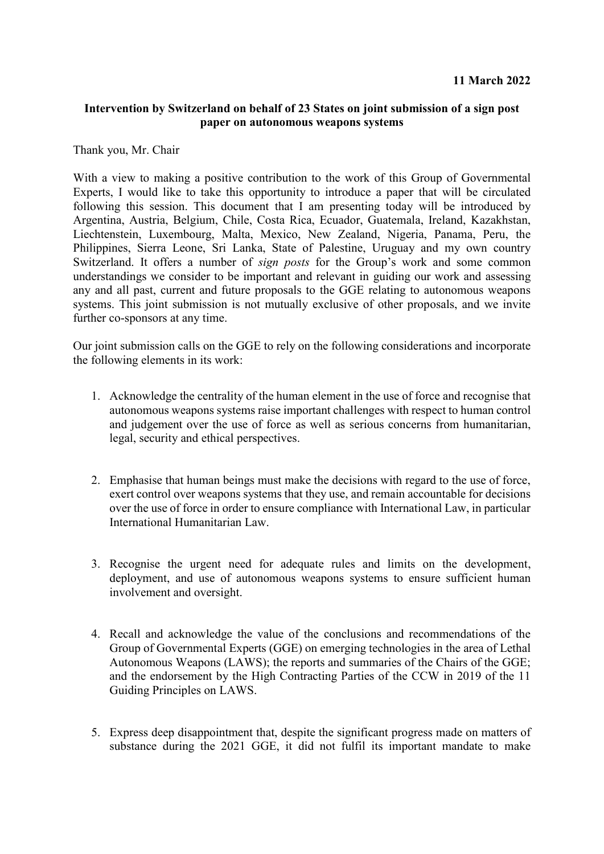## **Intervention by Switzerland on behalf of 23 States on joint submission of a sign post paper on autonomous weapons systems**

Thank you, Mr. Chair

With a view to making a positive contribution to the work of this Group of Governmental Experts, I would like to take this opportunity to introduce a paper that will be circulated following this session. This document that I am presenting today will be introduced by Argentina, Austria, Belgium, Chile, Costa Rica, Ecuador, Guatemala, Ireland, Kazakhstan, Liechtenstein, Luxembourg, Malta, Mexico, New Zealand, Nigeria, Panama, Peru, the Philippines, Sierra Leone, Sri Lanka, State of Palestine, Uruguay and my own country Switzerland. It offers a number of *sign posts* for the Group's work and some common understandings we consider to be important and relevant in guiding our work and assessing any and all past, current and future proposals to the GGE relating to autonomous weapons systems. This joint submission is not mutually exclusive of other proposals, and we invite further co-sponsors at any time.

Our joint submission calls on the GGE to rely on the following considerations and incorporate the following elements in its work:

- 1. Acknowledge the centrality of the human element in the use of force and recognise that autonomous weapons systems raise important challenges with respect to human control and judgement over the use of force as well as serious concerns from humanitarian, legal, security and ethical perspectives.
- 2. Emphasise that human beings must make the decisions with regard to the use of force, exert control over weapons systems that they use, and remain accountable for decisions over the use of force in order to ensure compliance with International Law, in particular International Humanitarian Law.
- 3. Recognise the urgent need for adequate rules and limits on the development, deployment, and use of autonomous weapons systems to ensure sufficient human involvement and oversight.
- 4. Recall and acknowledge the value of the conclusions and recommendations of the Group of Governmental Experts (GGE) on emerging technologies in the area of Lethal Autonomous Weapons (LAWS); the reports and summaries of the Chairs of the GGE; and the endorsement by the High Contracting Parties of the CCW in 2019 of the 11 Guiding Principles on LAWS.
- 5. Express deep disappointment that, despite the significant progress made on matters of substance during the 2021 GGE, it did not fulfil its important mandate to make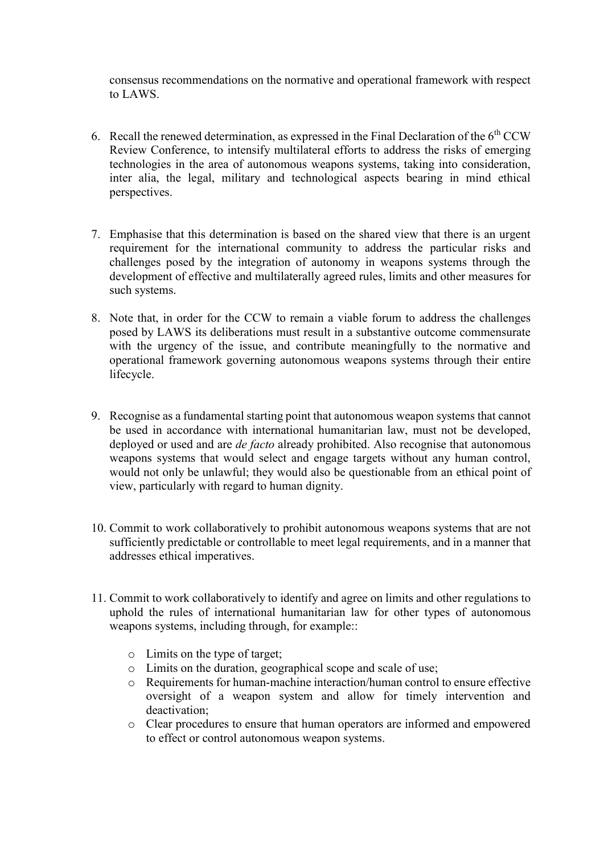consensus recommendations on the normative and operational framework with respect to LAWS.

- 6. Recall the renewed determination, as expressed in the Final Declaration of the  $6<sup>th</sup>CCW$ Review Conference, to intensify multilateral efforts to address the risks of emerging technologies in the area of autonomous weapons systems, taking into consideration, inter alia, the legal, military and technological aspects bearing in mind ethical perspectives.
- 7. Emphasise that this determination is based on the shared view that there is an urgent requirement for the international community to address the particular risks and challenges posed by the integration of autonomy in weapons systems through the development of effective and multilaterally agreed rules, limits and other measures for such systems.
- 8. Note that, in order for the CCW to remain a viable forum to address the challenges posed by LAWS its deliberations must result in a substantive outcome commensurate with the urgency of the issue, and contribute meaningfully to the normative and operational framework governing autonomous weapons systems through their entire lifecycle.
- 9. Recognise as a fundamental starting point that autonomous weapon systems that cannot be used in accordance with international humanitarian law, must not be developed, deployed or used and are *de facto* already prohibited. Also recognise that autonomous weapons systems that would select and engage targets without any human control, would not only be unlawful; they would also be questionable from an ethical point of view, particularly with regard to human dignity.
- 10. Commit to work collaboratively to prohibit autonomous weapons systems that are not sufficiently predictable or controllable to meet legal requirements, and in a manner that addresses ethical imperatives.
- 11. Commit to work collaboratively to identify and agree on limits and other regulations to uphold the rules of international humanitarian law for other types of autonomous weapons systems, including through, for example::
	- o Limits on the type of target;
	- o Limits on the duration, geographical scope and scale of use;
	- o Requirements for human-machine interaction/human control to ensure effective oversight of a weapon system and allow for timely intervention and deactivation;
	- o Clear procedures to ensure that human operators are informed and empowered to effect or control autonomous weapon systems.